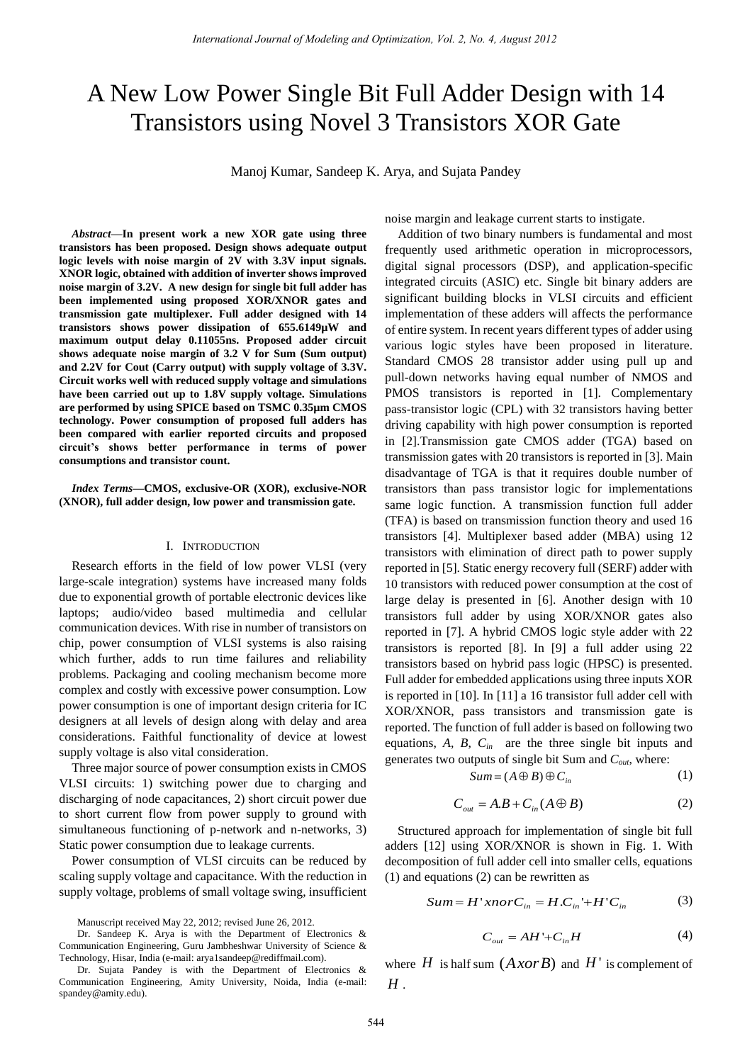# A New Low Power Single Bit Full Adder Design with 14 Transistors using Novel 3 Transistors XOR Gate

Manoj Kumar, Sandeep K. Arya, and Sujata Pandey

*Abstract***—In present work a new XOR gate using three transistors has been proposed. Design shows adequate output logic levels with noise margin of 2V with 3.3V input signals. XNOR logic, obtained with addition of inverter shows improved noise margin of 3.2V. A new design for single bit full adder has been implemented using proposed XOR/XNOR gates and transmission gate multiplexer. Full adder designed with 14 transistors shows power dissipation of 655.6149µW and maximum output delay 0.11055ns. Proposed adder circuit shows adequate noise margin of 3.2 V for Sum (Sum output) and 2.2V for Cout (Carry output) with supply voltage of 3.3V. Circuit works well with reduced supply voltage and simulations have been carried out up to 1.8V supply voltage. Simulations are performed by using SPICE based on TSMC 0.35µm CMOS technology. Power consumption of proposed full adders has been compared with earlier reported circuits and proposed circuit's shows better performance in terms of power consumptions and transistor count.** 

*Index Terms***—CMOS, exclusive-OR (XOR), exclusive-NOR (XNOR), full adder design, low power and transmission gate.** 

## I. INTRODUCTION

Research efforts in the field of low power VLSI (very large-scale integration) systems have increased many folds due to exponential growth of portable electronic devices like laptops; audio/video based multimedia and cellular communication devices. With rise in number of transistors on chip, power consumption of VLSI systems is also raising which further, adds to run time failures and reliability problems. Packaging and cooling mechanism become more complex and costly with excessive power consumption. Low power consumption is one of important design criteria for IC designers at all levels of design along with delay and area considerations. Faithful functionality of device at lowest supply voltage is also vital consideration.

Three major source of power consumption exists in CMOS VLSI circuits: 1) switching power due to charging and discharging of node capacitances, 2) short circuit power due to short current flow from power supply to ground with simultaneous functioning of p-network and n-networks, 3) Static power consumption due to leakage currents.

Power consumption of VLSI circuits can be reduced by scaling supply voltage and capacitance. With the reduction in supply voltage, problems of small voltage swing, insufficient

Manuscript received May 22, 2012; revised June 26, 2012.

noise margin and leakage current starts to instigate.

Addition of two binary numbers is fundamental and most frequently used arithmetic operation in microprocessors, digital signal processors (DSP), and application-specific integrated circuits (ASIC) etc. Single bit binary adders are significant building blocks in VLSI circuits and efficient implementation of these adders will affects the performance of entire system. In recent years different types of adder using various logic styles have been proposed in literature. Standard CMOS 28 transistor adder using pull up and pull-down networks having equal number of NMOS and PMOS transistors is reported in [1]. Complementary pass-transistor logic (CPL) with 32 transistors having better driving capability with high power consumption is reported in [2].Transmission gate CMOS adder (TGA) based on transmission gates with 20 transistors is reported in [3]. Main disadvantage of TGA is that it requires double number of transistors than pass transistor logic for implementations same logic function. A transmission function full adder (TFA) is based on transmission function theory and used 16 transistors [4]. Multiplexer based adder (MBA) using 12 transistors with elimination of direct path to power supply reported in [5]. Static energy recovery full (SERF) adder with 10 transistors with reduced power consumption at the cost of large delay is presented in [6]. Another design with 10 transistors full adder by using XOR/XNOR gates also reported in [7]. A hybrid CMOS logic style adder with 22 transistors is reported [8]. In [9] a full adder using 22 transistors based on hybrid pass logic (HPSC) is presented. Full adder for embedded applications using three inputs XOR is reported in [10]. In [11] a 16 transistor full adder cell with XOR/XNOR, pass transistors and transmission gate is reported. The function of full adder is based on following two equations, *A*, *B*, *Cin* are the three single bit inputs and generates two outputs of single bit Sum and *Cout*, where:

$$
Sum = (A \oplus B) \oplus C_{in} \tag{1}
$$

$$
C_{out} = A.B + C_{in}(A \oplus B) \tag{2}
$$

Structured approach for implementation of single bit full adders [12] using XOR/XNOR is shown in Fig. 1. With decomposition of full adder cell into smaller cells, equations (1) and equations (2) can be rewritten as

$$
Sum = H'xnorC_{in} = H.C_{in} + H'C_{in}
$$
 (3)

$$
C_{out} = AH' + C_{in}H
$$
 (4)

where  $H$  is half sum  $(A \text{ xor } B)$  and  $H'$  is complement of *H* .

Dr. Sandeep K. Arya is with the Department of Electronics & Communication Engineering, Guru Jambheshwar University of Science & Technology, Hisar, India (e-mail: arya1sandeep@rediffmail.com).

Dr. Sujata Pandey is with the Department of Electronics & Communication Engineering, Amity University, Noida, India (e-mail: spandey@amity.edu).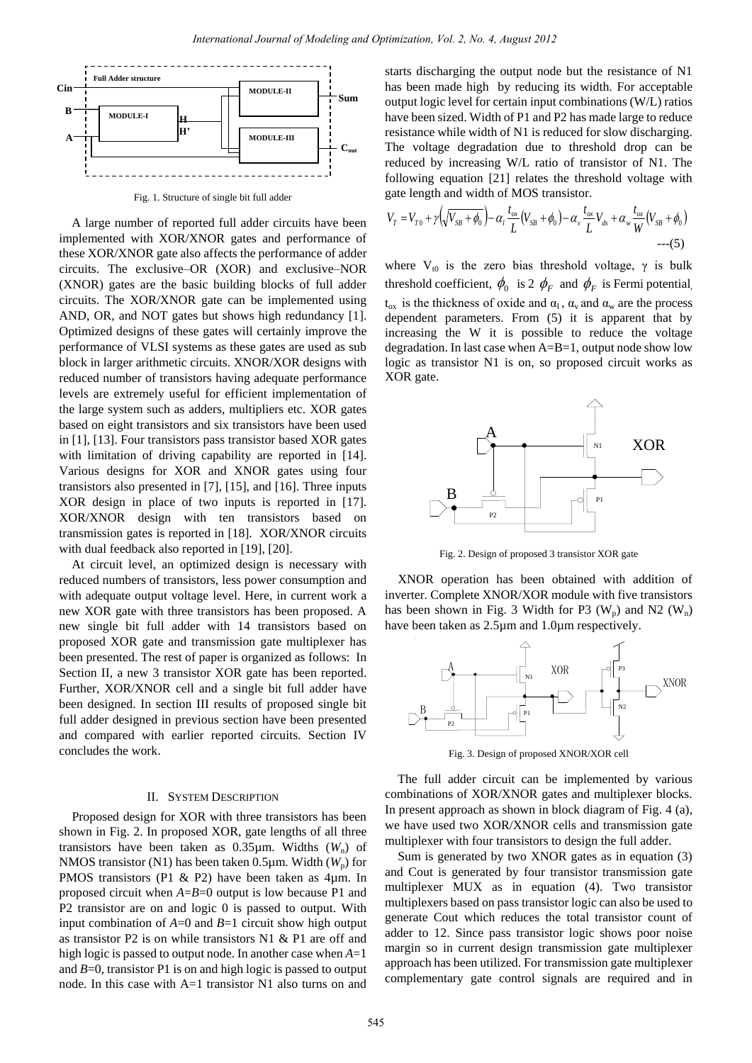

Fig. 1. Structure of single bit full adder

A large number of reported full adder circuits have been implemented with XOR/XNOR gates and performance of these XOR/XNOR gate also affects the performance of adder circuits. The exclusive–OR (XOR) and exclusive–NOR (XNOR) gates are the basic building blocks of full adder circuits. The XOR/XNOR gate can be implemented using AND, OR, and NOT gates but shows high redundancy [1]. Optimized designs of these gates will certainly improve the performance of VLSI systems as these gates are used as sub block in larger arithmetic circuits. XNOR/XOR designs with reduced number of transistors having adequate performance levels are extremely useful for efficient implementation of the large system such as adders, multipliers etc. XOR gates based on eight transistors and six transistors have been used in [1], [13]. Four transistors pass transistor based XOR gates with limitation of driving capability are reported in [14]. Various designs for XOR and XNOR gates using four transistors also presented in [7], [15], and [16]. Three inputs XOR design in place of two inputs is reported in [17]. XOR/XNOR design with ten transistors based on transmission gates is reported in [18]. XOR/XNOR circuits with dual feedback also reported in [19], [20].

At circuit level, an optimized design is necessary with reduced numbers of transistors, less power consumption and with adequate output voltage level. Here, in current work a new XOR gate with three transistors has been proposed. A new single bit full adder with 14 transistors based on proposed XOR gate and transmission gate multiplexer has been presented. The rest of paper is organized as follows: In Section II, a new 3 transistor XOR gate has been reported. Further, XOR/XNOR cell and a single bit full adder have been designed. In section III results of proposed single bit full adder designed in previous section have been presented and compared with earlier reported circuits. Section IV concludes the work.

### II. SYSTEM DESCRIPTION

Proposed design for XOR with three transistors has been shown in Fig. 2. In proposed XOR, gate lengths of all three transistors have been taken as  $0.35 \mu m$ . Widths ( $W_n$ ) of NMOS transistor (N1) has been taken  $0.5 \mu$ m. Width ( $W_p$ ) for PMOS transistors (P1 & P2) have been taken as 4  $\mu$ m. In proposed circuit when *A*=*B*=0 output is low because P1 and P2 transistor are on and logic 0 is passed to output. With input combination of *A*=0 and *B*=1 circuit show high output as transistor P2 is on while transistors N1 & P1 are off and high logic is passed to output node. In another case when *A*=1 and *B*=0, transistor P1 is on and high logic is passed to output node. In this case with A=1 transistor N1 also turns on and starts discharging the output node but the resistance of N1 has been made high by reducing its width. For acceptable output logic level for certain input combinations (W/L) ratios have been sized. Width of P1 and P2 has made large to reduce resistance while width of N1 is reduced for slow discharging. The voltage degradation due to threshold drop can be reduced by increasing W/L ratio of transistor of N1. The following equation [21] relates the threshold voltage with gate length and width of MOS transistor.

$$
V_T = V_{T0} + \gamma \left(\sqrt{V_{SB} + \phi_0}\right) - \alpha_l \frac{t_{ox}}{L} (V_{SB} + \phi_0) - \alpha_v \frac{t_{ox}}{L} V_{ds} + \alpha_w \frac{t_{ox}}{W} (V_{SB} + \phi_0)
$$
  
---(5)

where  $V_{t0}$  is the zero bias threshold voltage,  $\gamma$  is bulk threshold coefficient,  $\phi_0$  is 2  $\phi_F$  and  $\phi_F$  is Fermi potential,  $t_{\alpha x}$  is the thickness of oxide and  $\alpha_1$ ,  $\alpha_v$  and  $\alpha_w$  are the process dependent parameters. From (5) it is apparent that by increasing the W it is possible to reduce the voltage degradation. In last case when A=B=1, output node show low logic as transistor N1 is on, so proposed circuit works as XOR gate.



Fig. 2. Design of proposed 3 transistor XOR gate

XNOR operation has been obtained with addition of inverter. Complete XNOR/XOR module with five transistors has been shown in Fig. 3 Width for P3  $(W_p)$  and N2  $(W_n)$ have been taken as  $2.5 \,\text{\ensuremath{\mu}m}$  and  $1.0 \,\text{\ensuremath{\mu}m}$  respectively.



Fig. 3. Design of proposed XNOR/XOR cell

The full adder circuit can be implemented by various combinations of XOR/XNOR gates and multiplexer blocks. In present approach as shown in block diagram of Fig. 4 (a), we have used two XOR/XNOR cells and transmission gate multiplexer with four transistors to design the full adder.

Sum is generated by two XNOR gates as in equation (3) and Cout is generated by four transistor transmission gate multiplexer MUX as in equation (4). Two transistor multiplexers based on pass transistor logic can also be used to generate Cout which reduces the total transistor count of adder to 12. Since pass transistor logic shows poor noise margin so in current design transmission gate multiplexer approach has been utilized. For transmission gate multiplexer complementary gate control signals are required and in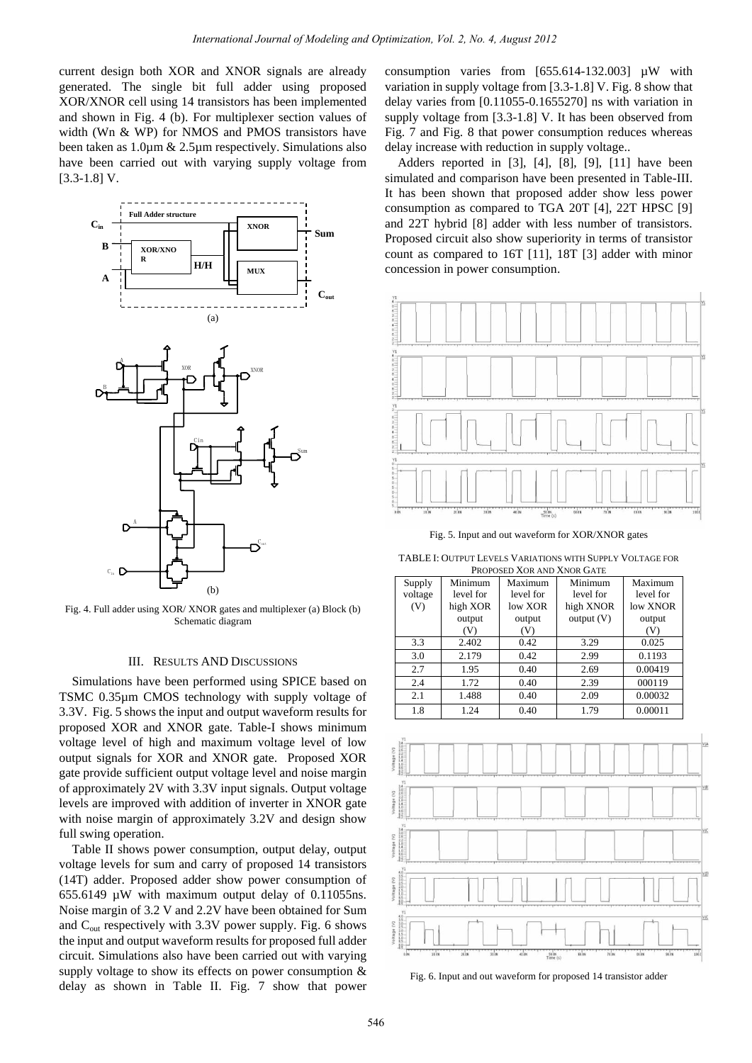current design both XOR and XNOR signals are already generated. The single bit full adder using proposed XOR/XNOR cell using 14 transistors has been implemented and shown in Fig. 4 (b). For multiplexer section values of width (Wn & WP) for NMOS and PMOS transistors have been taken as  $1.0 \text{ µm} \& 2.5 \text{ µm}$  respectively. Simulations also have been carried out with varying supply voltage from [3.3-1.8] V.



Fig. 4. Full adder using XOR/ XNOR gates and multiplexer (a) Block (b) Schematic diagram

## III. RESULTS AND DISCUSSIONS

Simulations have been performed using SPICE based on TSMC 0.35  $\mu$ m CMOS technology with supply voltage of 3.3V. Fig. 5 shows the input and output waveform results for proposed XOR and XNOR gate. Table-I shows minimum voltage level of high and maximum voltage level of low output signals for XOR and XNOR gate. Proposed XOR gate provide sufficient output voltage level and noise margin of approximately 2V with 3.3V input signals. Output voltage levels are improved with addition of inverter in XNOR gate with noise margin of approximately 3.2V and design show full swing operation.

Table II shows power consumption, output delay, output voltage levels for sum and carry of proposed 14 transistors (14T) adder. Proposed adder show power consumption of 655.6149 µW with maximum output delay of 0.11055ns. Noise margin of 3.2 V and 2.2V have been obtained for Sum and  $C_{out}$  respectively with 3.3V power supply. Fig. 6 shows the input and output waveform results for proposed full adder circuit. Simulations also have been carried out with varying supply voltage to show its effects on power consumption & delay as shown in Table II. Fig. 7 show that power consumption varies from [655.614-132.003] µW with variation in supply voltage from [3.3-1.8] V. Fig. 8 show that delay varies from [0.11055-0.1655270] ns with variation in supply voltage from [3.3-1.8] V. It has been observed from Fig. 7 and Fig. 8 that power consumption reduces whereas delay increase with reduction in supply voltage..

Adders reported in [3], [4], [8], [9], [11] have been simulated and comparison have been presented in Table-III. It has been shown that proposed adder show less power consumption as compared to TGA 20T [4], 22T HPSC [9] and 22T hybrid [8] adder with less number of transistors. Proposed circuit also show superiority in terms of transistor count as compared to 16T [11], 18T [3] adder with minor concession in power consumption.



Fig. 5. Input and out waveform for XOR/XNOR gates

TABLE I: OUTPUT LEVELS VARIATIONS WITH SUPPLY VOLTAGE FOR PROPOSED XOR AND XNOR GATE

| Supply  | Minimum   | Maximum   | Minimum   | Maximum   |
|---------|-----------|-----------|-----------|-----------|
| voltage | level for | level for | level for | level for |
| (V)     | high XOR  | low XOR   | high XNOR | low XNOR  |
|         | output    | output    | output(V) | output    |
|         | (V)       | (V)       |           | (V)       |
| 3.3     | 2.402     | 0.42      | 3.29      | 0.025     |
| 3.0     | 2.179     | 0.42      | 2.99      | 0.1193    |
| 2.7     | 1.95      | 0.40      | 2.69      | 0.00419   |
| 2.4     | 1.72      | 0.40      | 2.39      | 000119    |
| 2.1     | 1.488     | 0.40      | 2.09      | 0.00032   |
| 1.8     | 1.24      | 0.40      | 1.79      | 0.00011   |



Fig. 6. Input and out waveform for proposed 14 transistor adder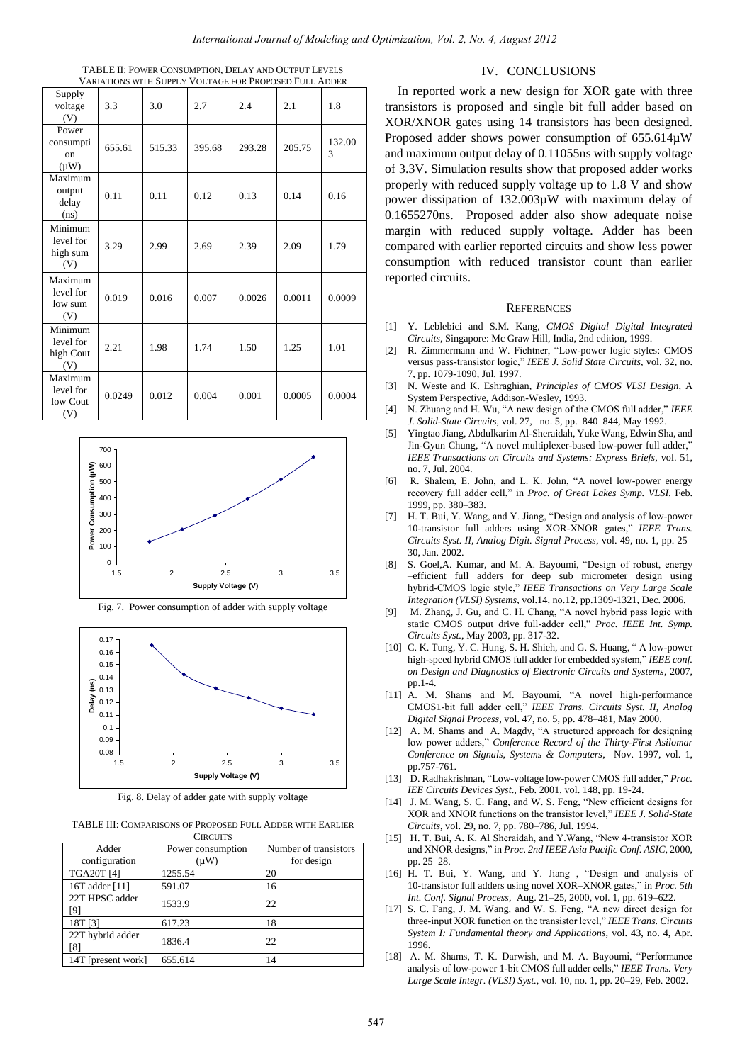| TABLE II: POWER CONSUMPTION, DELAY AND OUTPUT LEVELS   |
|--------------------------------------------------------|
| VARIATIONS WITH SUPPLY VOLTAGE FOR PROPOSED FULL ADDER |

| Supply<br>voltage<br>(V)                         | 3.3    | 3.0    | 2.7    | 2.4    | 2.1    | 1.8         |
|--------------------------------------------------|--------|--------|--------|--------|--------|-------------|
| Power<br>consumpti<br><sub>on</sub><br>$(\mu W)$ | 655.61 | 515.33 | 395.68 | 293.28 | 205.75 | 132.00<br>3 |
| Maximum<br>output<br>delay<br>(n <sub>s</sub> )  | 0.11   | 0.11   | 0.12   | 0.13   | 0.14   | 0.16        |
| Minimum<br>level for<br>high sum<br>(V)          | 3.29   | 2.99   | 2.69   | 2.39   | 2.09   | 1.79        |
| Maximum<br>level for<br>low sum<br>(V)           | 0.019  | 0.016  | 0.007  | 0.0026 | 0.0011 | 0.0009      |
| Minimum<br>level for<br>high Cout<br>(V)         | 2.21   | 1.98   | 1.74   | 1.50   | 1.25   | 1.01        |
| Maximum<br>level for<br>low Cout<br>(V)          | 0.0249 | 0.012  | 0.004  | 0.001  | 0.0005 | 0.0004      |







Fig. 8. Delay of adder gate with supply voltage

TABLE III: COMPARISONS OF PROPOSED FULL ADDER WITH EARLIER **CIRCUITS** 

| Adder              | Power consumption | Number of transistors |  |
|--------------------|-------------------|-----------------------|--|
| configuration      | $(\mu W)$         | for design            |  |
| <b>TGA20T [4]</b>  | 1255.54           | 20                    |  |
| 16T adder [11]     | 591.07            | 16                    |  |
| 22T HPSC adder     | 1533.9            | 22                    |  |
| 18T [3]            | 617.23            | 18                    |  |
| 22T hybrid adder   | 1836.4            | 22                    |  |
| 14T [present work] | 655.614           | 14                    |  |

## IV. CONCLUSIONS

In reported work a new design for XOR gate with three transistors is proposed and single bit full adder based on XOR/XNOR gates using 14 transistors has been designed. Proposed adder shows power consumption of  $655.614 \mu W$ and maximum output delay of 0.11055ns with supply voltage of 3.3V. Simulation results show that proposed adder works properly with reduced supply voltage up to 1.8 V and show power dissipation of 132.003µW with maximum delay of 0.1655270ns. Proposed adder also show adequate noise margin with reduced supply voltage. Adder has been compared with earlier reported circuits and show less power consumption with reduced transistor count than earlier reported circuits.

### **REFERENCES**

- [1] Y. Leblebici and S.M. Kang, *CMOS Digital Digital Integrated Circuits*, Singapore: Mc Graw Hill, India, 2nd edition, 1999.
- [2] R. Zimmermann and W. Fichtner, "Low-power logic styles: CMOS versus pass-transistor logic," *IEEE J. Solid State Circuits,* vol. 32, no. 7, pp. 1079-1090, Jul. 1997.
- [3] N. Weste and K. Eshraghian, *Principles of CMOS VLSI Design*, A System Perspective, Addison-Wesley, 1993.
- [4] N. Zhuang and H. Wu, "A new design of the CMOS full adder," *IEEE J. Solid-State Circuits,* vol. 27, no. 5, pp. 840–844, May 1992.
- [5] Yingtao Jiang, Abdulkarim Al-Sheraidah, Yuke Wang, Edwin Sha, and Jin-Gyun Chung, "A novel multiplexer-based low-power full adder," *IEEE Transactions on Circuits and Systems: Express Briefs*, vol. 51, no. 7, Jul. 2004.
- [6] R. Shalem, E. John, and L. K. John, "A novel low-power energy recovery full adder cell," in *Proc. of Great Lakes Symp. VLSI*, Feb. 1999, pp. 380–383.
- [7] H. T. Bui, Y. Wang, and Y. Jiang, "Design and analysis of low-power 10-transistor full adders using XOR-XNOR gates," *IEEE Trans. Circuits Syst. II, Analog Digit. Signal Process*, vol. 49, no. 1, pp. 25– 30, Jan. 2002.
- [8] S. Goel,A. Kumar, and M. A. Bayoumi, "Design of robust, energy –efficient full adders for deep sub micrometer design using hybrid-CMOS logic style," *IEEE Transactions on Very Large Scale Integration (VLSI) Systems*, vol.14, no.12, pp.1309-1321, Dec. 2006.
- [9] M. Zhang, J. Gu, and C. H. Chang, "A novel hybrid pass logic with static CMOS output drive full-adder cell," *Proc. IEEE Int. Symp. Circuits Syst.*, May 2003, pp. 317-32.
- [10] C. K. Tung, Y. C. Hung, S. H. Shieh, and G. S. Huang, " A low-power high-speed hybrid CMOS full adder for embedded system," *IEEE conf. on Design and Diagnostics of Electronic Circuits and Systems*, 2007, pp.1-4.
- [11] A. M. Shams and M. Bayoumi, "A novel high-performance CMOS1-bit full adder cell," *IEEE Trans. Circuits Syst. II, Analog Digital Signal Process*, vol. 47, no. 5, pp. 478–481, May 2000.
- [12] A. M. Shams and A. Magdy, "A structured approach for designing low power adders," *Conference Record of the Thirty-First Asilomar Conference on Signals, Systems & Computers*, Nov. 1997, vol. 1, pp.757-761.
- [13] D. Radhakrishnan, "Low-voltage low-power CMOS full adder," *Proc. IEE Circuits Devices Syst*., Feb. 2001, vol. 148, pp. 19-24.
- [14] J. M. Wang, S. C. Fang, and W. S. Feng, "New efficient designs for XOR and XNOR functions on the transistor level," *IEEE J. Solid-State Circuits*, vol. 29, no. 7, pp. 780–786, Jul. 1994.
- [15] H. T. Bui, A. K. Al Sheraidah, and Y.Wang, "New 4-transistor XOR and XNOR designs," in *Proc. 2nd IEEE Asia Pacific Conf. ASIC*, 2000, pp. 25–28.
- [16] H. T. Bui, Y. Wang, and Y. Jiang , "Design and analysis of 10-transistor full adders using novel XOR–XNOR gates," in *Proc. 5th Int. Conf. Signal Process*, Aug. 21–25, 2000, vol. 1, pp. 619–622.
- [17] S. C. Fang, J. M. Wang, and W. S. Feng, "A new direct design for three-input XOR function on the transistor level," *IEEE Trans. Circuits System I: Fundamental theory and Applications,* vol. 43, no. 4, Apr. 1996.
- [18] A. M. Shams, T. K. Darwish, and M. A. Bayoumi, "Performance analysis of low-power 1-bit CMOS full adder cells," *IEEE Trans. Very Large Scale Integr. (VLSI) Syst.*, vol. 10, no. 1, pp. 20–29, Feb. 2002.